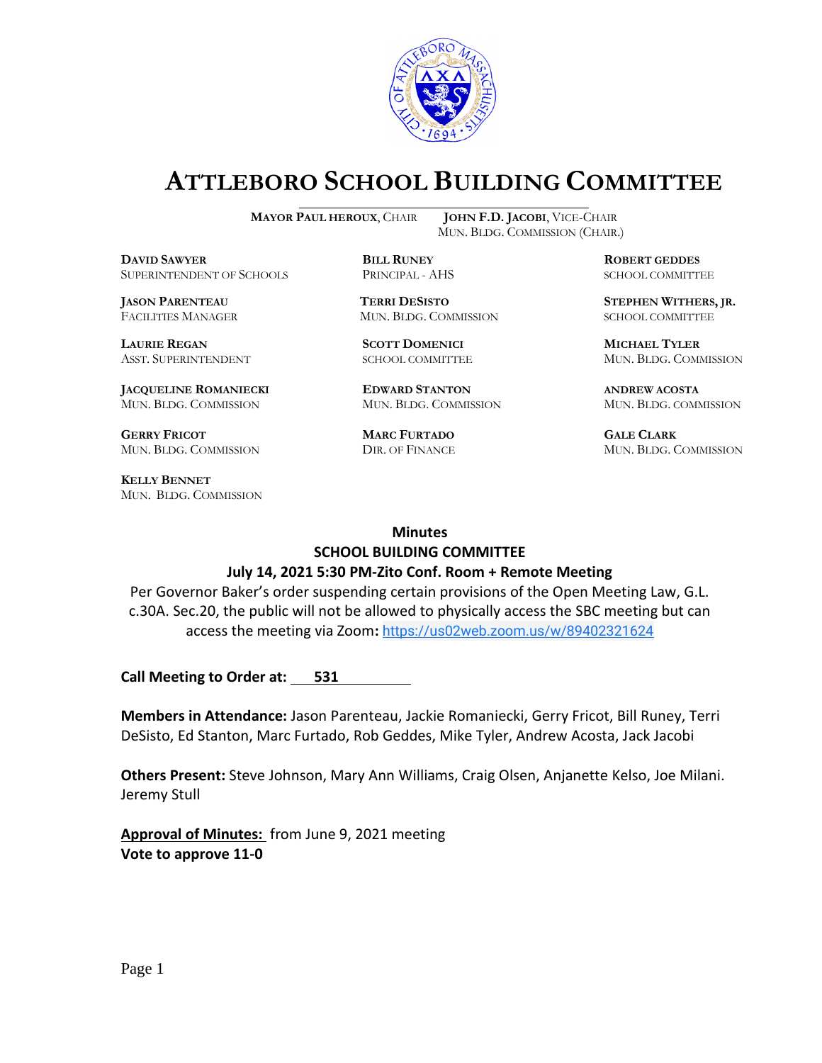

# **ATTLEBORO SCHOOL BUILDING COMMITTEE**

**DAVID SAWYER BILL RUNEY ROBERT GEDDES** SUPERINTENDENT OF SCHOOLS PRINCIPAL - AHS SCHOOL COMMITTEE

FACILITIES MANAGER MUN. BLDG. COMMISSION SCHOOL COMMITTEE

**LAURIE REGAN SCOTT DOMENICI MICHAEL TYLER**

**JACQUELINE ROMANIECKI EDWARD STANTON ANDREW ACOSTA** MUN. BLDG. COMMISSION MUN. BLDG. COMMISSION MUN. BLDG. COMMISSION

**GERRY FRICOT MARC FURTADO GALE CLARK** MUN. BLDG. COMMISSION DIR. OF FINANCE MUN. BLDG. COMMISSION

**KELLY BENNET** MUN. BLDG. COMMISSION

**MAYOR PAUL HEROUX**, CHAIR **JOHN F.D. JACOBI**, VICE-CHAIR MUN. BLDG. COMMISSION (CHAIR.)

**JASON PARENTEAU TERRI DESISTO STEPHEN WITHERS, JR.**

ASST. SUPERINTENDENT SCHOOL COMMITTEE MUN. BLDG. COMMISSION

### **Minutes**

#### **SCHOOL BUILDING COMMITTEE July 14, 2021 5:30 PM-Zito Conf. Room + Remote Meeting**

Per Governor Baker's order suspending certain provisions of the Open Meeting Law, G.L. c.30A. Sec.20, the public will not be allowed to physically access the SBC meeting but can access the meeting via Zoom**:** [https://us02web.zoom.us/w/89402321624](https://www.google.com/url?q=https://us02web.zoom.us/w/89402321624?tk%3Dx6MQd-pp4ReirPisMd_QAiWCZMImz4-4yLH8QNXc6ps.DQIAAAAU0Msq2BZEY2pjRkRjZVFkcVlybmxJMVp0UkRnAAAAAAAAAAAAAAAAAAAAAAAAAAAA&sa=D&source=calendar&usd=2&usg=AOvVaw38f7P7Hm-280g_8tvpUmpn)

**Call Meeting to Order at:** 531

**Members in Attendance:** Jason Parenteau, Jackie Romaniecki, Gerry Fricot, Bill Runey, Terri DeSisto, Ed Stanton, Marc Furtado, Rob Geddes, Mike Tyler, Andrew Acosta, Jack Jacobi

**Others Present:** Steve Johnson, Mary Ann Williams, Craig Olsen, Anjanette Kelso, Joe Milani. Jeremy Stull

**Approval of Minutes:** from June 9, 2021 meeting **Vote to approve 11-0**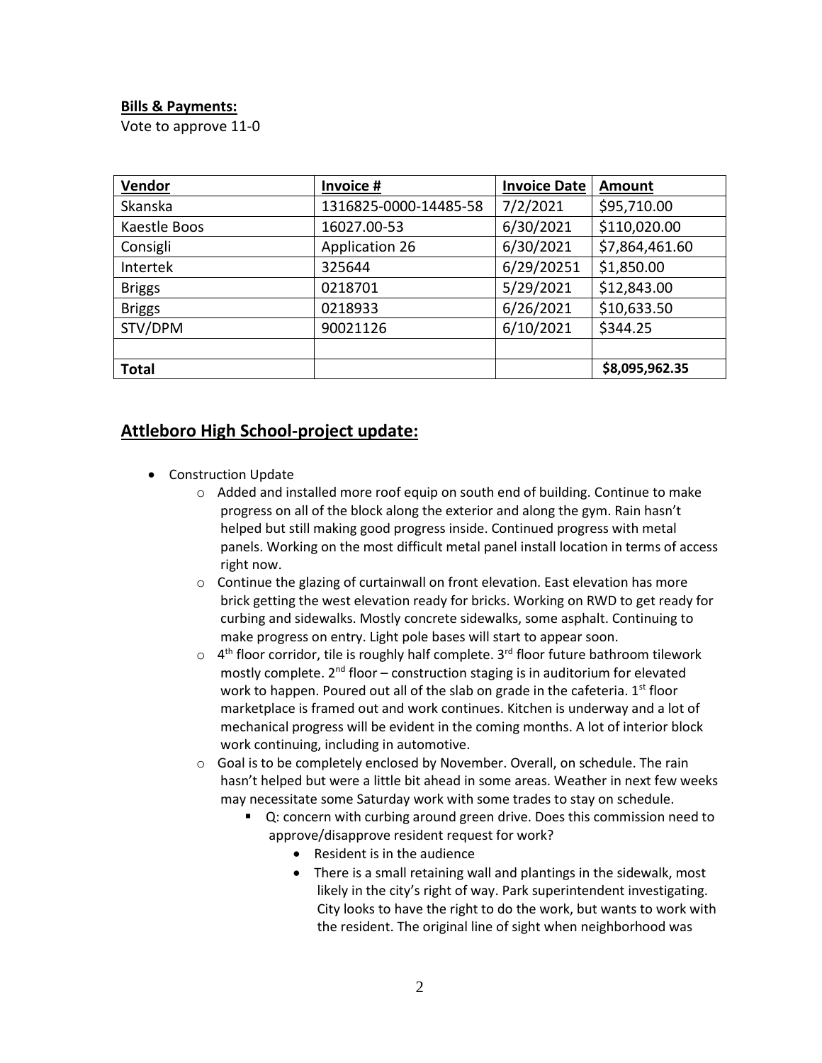# **Bills & Payments:**

Vote to approve 11-0

| Vendor        | Invoice #             | <b>Invoice Date</b> | <b>Amount</b>  |
|---------------|-----------------------|---------------------|----------------|
| Skanska       | 1316825-0000-14485-58 | 7/2/2021            | \$95,710.00    |
| Kaestle Boos  | 16027.00-53           | 6/30/2021           | \$110,020.00   |
| Consigli      | <b>Application 26</b> | 6/30/2021           | \$7,864,461.60 |
| Intertek      | 325644                | 6/29/20251          | \$1,850.00     |
| <b>Briggs</b> | 0218701               | 5/29/2021           | \$12,843.00    |
| <b>Briggs</b> | 0218933               | 6/26/2021           | \$10,633.50    |
| STV/DPM       | 90021126              | 6/10/2021           | \$344.25       |
|               |                       |                     |                |
| <b>Total</b>  |                       |                     | \$8,095,962.35 |

# **Attleboro High School-project update:**

- Construction Update
	- $\circ$  Added and installed more roof equip on south end of building. Continue to make progress on all of the block along the exterior and along the gym. Rain hasn't helped but still making good progress inside. Continued progress with metal panels. Working on the most difficult metal panel install location in terms of access right now.
	- $\circ$  Continue the glazing of curtainwall on front elevation. East elevation has more brick getting the west elevation ready for bricks. Working on RWD to get ready for curbing and sidewalks. Mostly concrete sidewalks, some asphalt. Continuing to make progress on entry. Light pole bases will start to appear soon.
	- $\circ$  4<sup>th</sup> floor corridor, tile is roughly half complete. 3<sup>rd</sup> floor future bathroom tilework mostly complete.  $2^{nd}$  floor – construction staging is in auditorium for elevated work to happen. Poured out all of the slab on grade in the cafeteria.  $1<sup>st</sup>$  floor marketplace is framed out and work continues. Kitchen is underway and a lot of mechanical progress will be evident in the coming months. A lot of interior block work continuing, including in automotive.
	- o Goal is to be completely enclosed by November. Overall, on schedule. The rain hasn't helped but were a little bit ahead in some areas. Weather in next few weeks may necessitate some Saturday work with some trades to stay on schedule.
		- Q: concern with curbing around green drive. Does this commission need to approve/disapprove resident request for work?
			- Resident is in the audience
			- There is a small retaining wall and plantings in the sidewalk, most likely in the city's right of way. Park superintendent investigating. City looks to have the right to do the work, but wants to work with the resident. The original line of sight when neighborhood was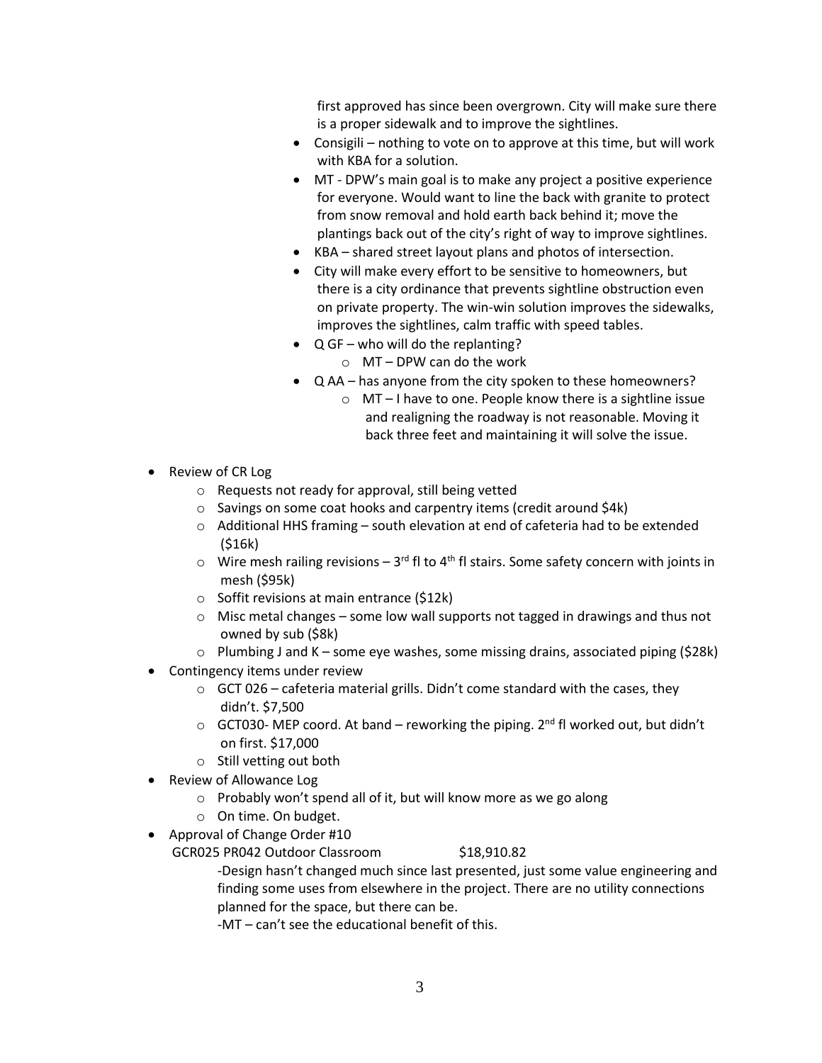first approved has since been overgrown. City will make sure there is a proper sidewalk and to improve the sightlines.

- Consigili nothing to vote on to approve at this time, but will work with KBA for a solution.
- MT DPW's main goal is to make any project a positive experience for everyone. Would want to line the back with granite to protect from snow removal and hold earth back behind it; move the plantings back out of the city's right of way to improve sightlines.
- KBA shared street layout plans and photos of intersection.
- City will make every effort to be sensitive to homeowners, but there is a city ordinance that prevents sightline obstruction even on private property. The win-win solution improves the sidewalks, improves the sightlines, calm traffic with speed tables.
- Q GF who will do the replanting?
	- o MT DPW can do the work
- Q AA has anyone from the city spoken to these homeowners?
	- o MT I have to one. People know there is a sightline issue and realigning the roadway is not reasonable. Moving it back three feet and maintaining it will solve the issue.
- Review of CR Log
	- o Requests not ready for approval, still being vetted
	- o Savings on some coat hooks and carpentry items (credit around \$4k)
	- $\circ$  Additional HHS framing south elevation at end of cafeteria had to be extended (\$16k)
	- $\circ$  Wire mesh railing revisions 3<sup>rd</sup> fl to 4<sup>th</sup> fl stairs. Some safety concern with joints in mesh (\$95k)
	- o Soffit revisions at main entrance (\$12k)
	- $\circ$  Misc metal changes some low wall supports not tagged in drawings and thus not owned by sub (\$8k)
	- $\circ$  Plumbing J and K some eye washes, some missing drains, associated piping (\$28k)
- Contingency items under review
	- $\circ$  GCT 026 cafeteria material grills. Didn't come standard with the cases, they didn't. \$7,500
	- $\circ$  GCT030- MEP coord. At band reworking the piping. 2<sup>nd</sup> fl worked out, but didn't on first. \$17,000
	- o Still vetting out both
- Review of Allowance Log
	- o Probably won't spend all of it, but will know more as we go along
	- o On time. On budget.
- Approval of Change Order #10
	- GCR025 PR042 Outdoor Classroom \$18,910.82

-Design hasn't changed much since last presented, just some value engineering and finding some uses from elsewhere in the project. There are no utility connections planned for the space, but there can be.

-MT – can't see the educational benefit of this.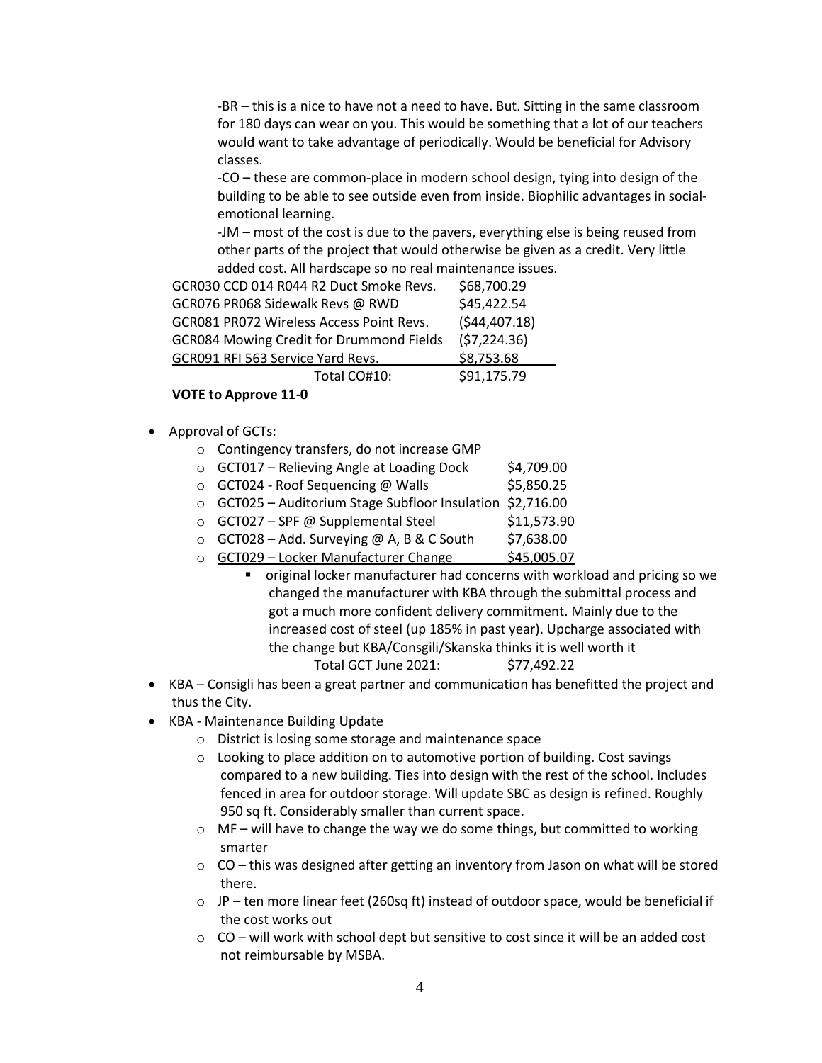-BR – this is a nice to have not a need to have. But. Sitting in the same classroom for 180 days can wear on you. This would be something that a lot of our teachers would want to take advantage of periodically. Would be beneficial for Advisory classes.

-CO – these are common-place in modern school design, tying into design of the building to be able to see outside even from inside. Biophilic advantages in socialemotional learning.

-JM – most of the cost is due to the pavers, everything else is being reused from other parts of the project that would otherwise be given as a credit. Very little added cost. All hardscape so no real maintenance issues.

| GCR030 CCD 014 R044 R2 Duct Smoke Revs.         | \$68,700.29   |
|-------------------------------------------------|---------------|
| GCR076 PR068 Sidewalk Revs @ RWD                | \$45,422.54   |
| GCR081 PR072 Wireless Access Point Revs.        | (544, 407.18) |
| <b>GCR084 Mowing Credit for Drummond Fields</b> | (57, 224.36)  |
| GCR091 RFI 563 Service Yard Revs.               | \$8,753.68    |
| Total CO#10:                                    | \$91,175.79   |

#### **VOTE to Approve 11-0**

- Approval of GCTs:
	- o Contingency transfers, do not increase GMP
	- $\circ$  GCT017 Relieving Angle at Loading Dock  $\sharp$ 4,709.00
	- $\circ$  GCT024 Roof Sequencing @ Walls  $$5,850.25$
	- o GCT025 Auditorium Stage Subfloor Insulation \$2,716.00
	- $\circ$  GCT027 SPF @ Supplemental Steel \$11,573.90
	- $\circ$  GCT028 Add. Surveying @ A, B & C South \$7,638.00
	- o GCT029 Locker Manufacturer Change \$45,005.07
		- original locker manufacturer had concerns with workload and pricing so we changed the manufacturer with KBA through the submittal process and got a much more confident delivery commitment. Mainly due to the increased cost of steel (up 185% in past year). Upcharge associated with the change but KBA/Consgili/Skanska thinks it is well worth it Total GCT June 2021: \$77,492.22
- KBA Consigli has been a great partner and communication has benefitted the project and thus the City.
- KBA Maintenance Building Update
	- o District is losing some storage and maintenance space
	- $\circ$  Looking to place addition on to automotive portion of building. Cost savings compared to a new building. Ties into design with the rest of the school. Includes fenced in area for outdoor storage. Will update SBC as design is refined. Roughly 950 sq ft. Considerably smaller than current space.
	- $\circ$  MF will have to change the way we do some things, but committed to working smarter
	- $\circ$  CO this was designed after getting an inventory from Jason on what will be stored there.
	- $\circ$  JP ten more linear feet (260sq ft) instead of outdoor space, would be beneficial if the cost works out
	- $\circ$  CO will work with school dept but sensitive to cost since it will be an added cost not reimbursable by MSBA.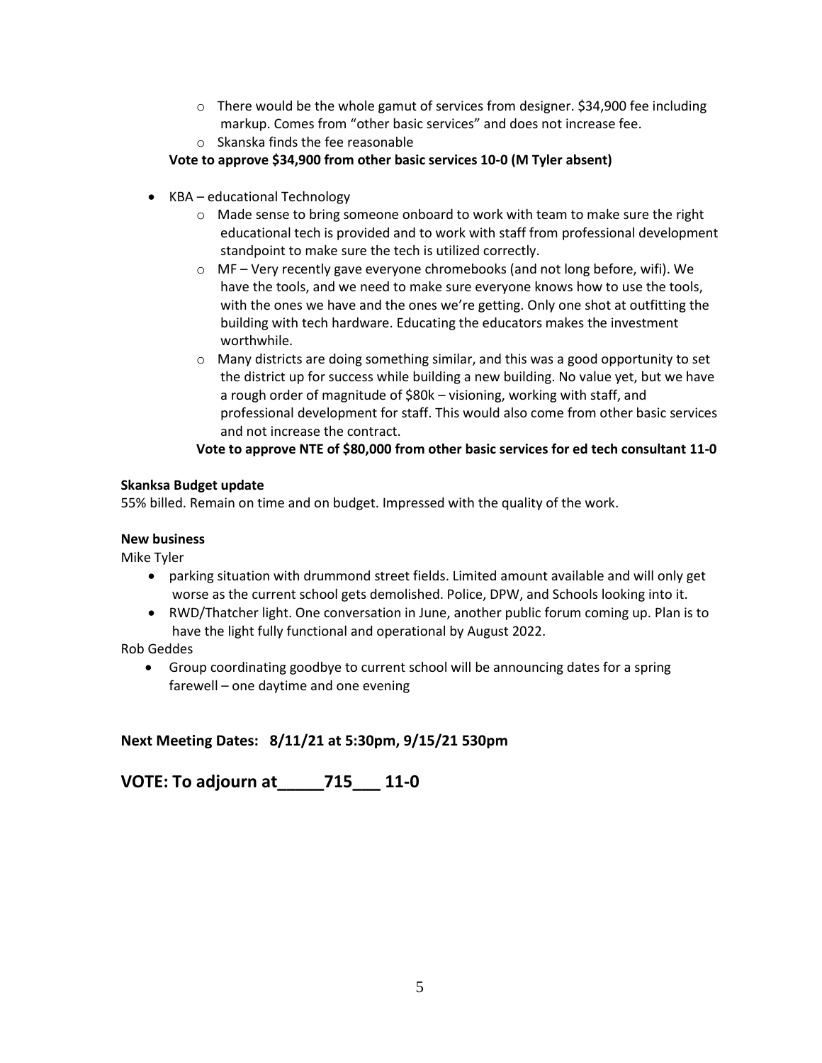- $\circ$  There would be the whole gamut of services from designer. \$34,900 fee including markup. Comes from "other basic services" and does not increase fee.
- o Skanska finds the fee reasonable

#### **Vote to approve \$34,900 from other basic services 10-0 (M Tyler absent)**

- KBA educational Technology
	- o Made sense to bring someone onboard to work with team to make sure the right educational tech is provided and to work with staff from professional development standpoint to make sure the tech is utilized correctly.
	- $\circ$  MF Very recently gave everyone chromebooks (and not long before, wifi). We have the tools, and we need to make sure everyone knows how to use the tools, with the ones we have and the ones we're getting. Only one shot at outfitting the building with tech hardware. Educating the educators makes the investment worthwhile.
	- $\circ$  Many districts are doing something similar, and this was a good opportunity to set the district up for success while building a new building. No value yet, but we have a rough order of magnitude of \$80k – visioning, working with staff, and professional development for staff. This would also come from other basic services and not increase the contract.

**Vote to approve NTE of \$80,000 from other basic services for ed tech consultant 11-0**

#### **Skanksa Budget update**

55% billed. Remain on time and on budget. Impressed with the quality of the work.

#### **New business**

Mike Tyler

- parking situation with drummond street fields. Limited amount available and will only get worse as the current school gets demolished. Police, DPW, and Schools looking into it.
- RWD/Thatcher light. One conversation in June, another public forum coming up. Plan is to have the light fully functional and operational by August 2022.

Rob Geddes

• Group coordinating goodbye to current school will be announcing dates for a spring farewell – one daytime and one evening

# **Next Meeting Dates: 8/11/21 at 5:30pm, 9/15/21 530pm**

**VOTE: To adjourn at\_\_\_\_\_715\_\_\_ 11-0**